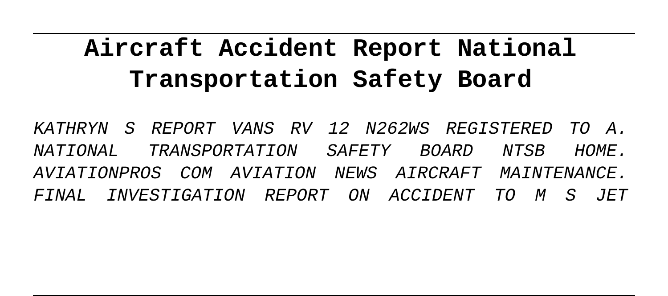# **Aircraft Accident Report National Transportation Safety Board**

KATHRYN S REPORT VANS RV 12 N262WS REGISTERED TO A. NATIONAL TRANSPORTATION SAFETY BOARD NTSB HOME. AVIATIONPROS COM AVIATION NEWS AIRCRAFT MAINTENANCE. FINAL INVESTIGATION REPORT ON ACCIDENT TO M S JET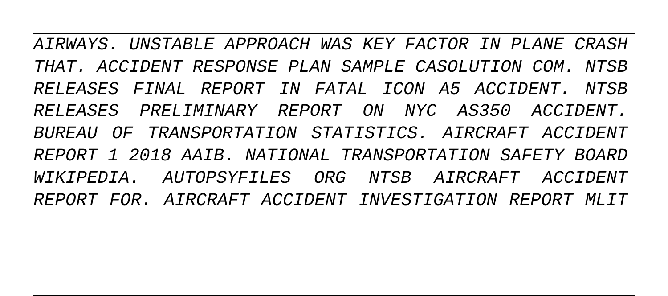AIRWAYS. UNSTABLE APPROACH WAS KEY FACTOR IN PLANE CRASH THAT. ACCIDENT RESPONSE PLAN SAMPLE CASOLUTION COM. NTSB RELEASES FINAL REPORT IN FATAL ICON A5 ACCIDENT. NTSB RELEASES PRELIMINARY REPORT ON NYC AS350 ACCIDENT. BUREAU OF TRANSPORTATION STATISTICS. AIRCRAFT ACCIDENT REPORT 1 2018 AAIB. NATIONAL TRANSPORTATION SAFETY BOARD WIKIPEDIA. AUTOPSYFILES ORG NTSB AIRCRAFT ACCIDENT REPORT FOR. AIRCRAFT ACCIDENT INVESTIGATION REPORT MLIT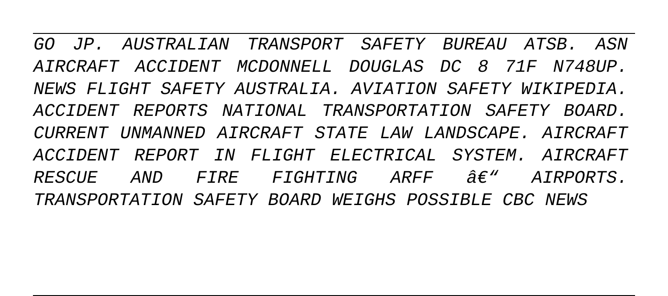GO JP. AUSTRALIAN TRANSPORT SAFETY BUREAU ATSB. ASN AIRCRAFT ACCIDENT MCDONNELL DOUGLAS DC 8 71F N748UP. NEWS FLIGHT SAFETY AUSTRALIA. AVIATION SAFETY WIKIPEDIA. ACCIDENT REPORTS NATIONAL TRANSPORTATION SAFETY BOARD. CURRENT UNMANNED AIRCRAFT STATE LAW LANDSCAPE. AIRCRAFT ACCIDENT REPORT IN FLIGHT ELECTRICAL SYSTEM. AIRCRAFT  $R$ ESCUE AND FIRE FIGHTING ARFF  $\hat{\theta}\in$ " AIRPORTS. TRANSPORTATION SAFETY BOARD WEIGHS POSSIBLE CBC NEWS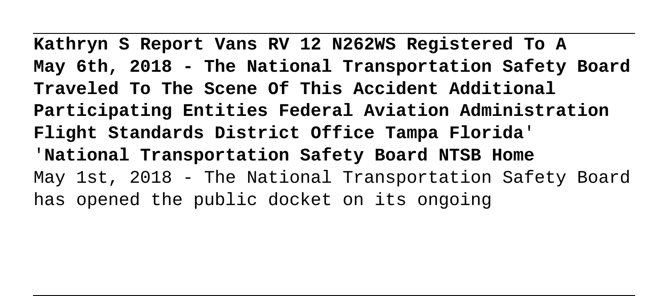**Kathryn S Report Vans RV 12 N262WS Registered To A May 6th, 2018 - The National Transportation Safety Board Traveled To The Scene Of This Accident Additional Participating Entities Federal Aviation Administration Flight Standards District Office Tampa Florida**' '**National Transportation Safety Board NTSB Home** May 1st, 2018 - The National Transportation Safety Board has opened the public docket on its ongoing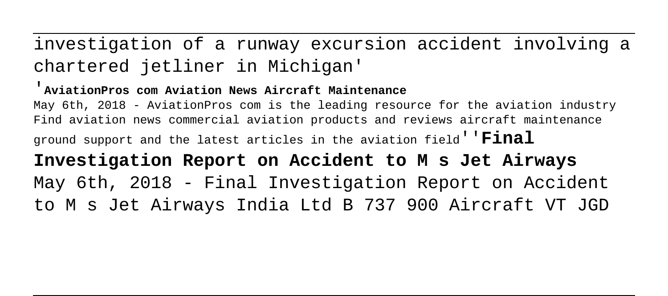investigation of a runway excursion accident involving a chartered jetliner in Michigan'

### '**AviationPros com Aviation News Aircraft Maintenance**

May 6th, 2018 - AviationPros com is the leading resource for the aviation industry Find aviation news commercial aviation products and reviews aircraft maintenance ground support and the latest articles in the aviation field''**Final Investigation Report on Accident to M s Jet Airways** May 6th, 2018 - Final Investigation Report on Accident to M s Jet Airways India Ltd B 737 900 Aircraft VT JGD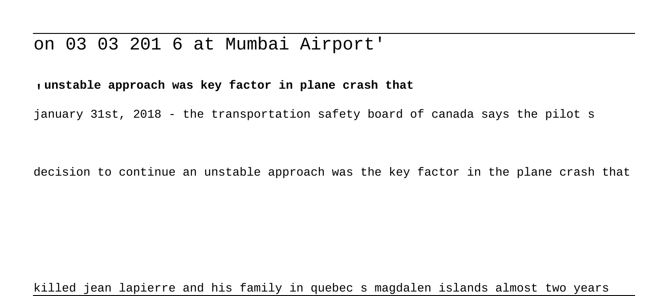### on 03 03 201 6 at Mumbai Airport'

#### '**unstable approach was key factor in plane crash that**

january 31st, 2018 - the transportation safety board of canada says the pilot s

decision to continue an unstable approach was the key factor in the plane crash that

killed jean lapierre and his family in quebec s magdalen islands almost two years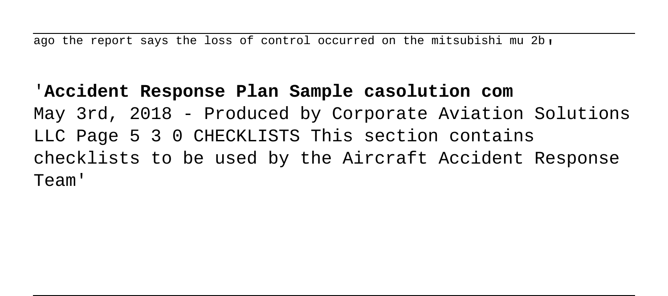ago the report says the loss of control occurred on the mitsubishi mu  $2b$ .

'**Accident Response Plan Sample casolution com** May 3rd, 2018 - Produced by Corporate Aviation Solutions LLC Page 5 3 0 CHECKLISTS This section contains checklists to be used by the Aircraft Accident Response Team'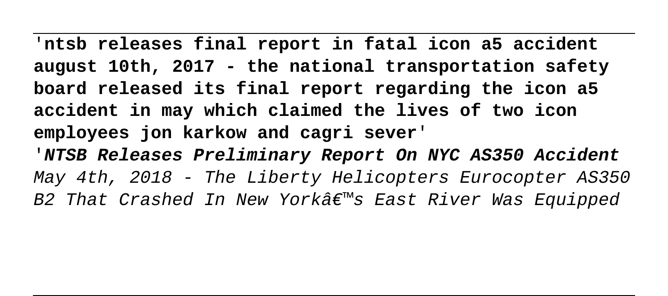'**ntsb releases final report in fatal icon a5 accident august 10th, 2017 - the national transportation safety board released its final report regarding the icon a5 accident in may which claimed the lives of two icon employees jon karkow and cagri sever**' '**NTSB Releases Preliminary Report On NYC AS350 Accident** May 4th, 2018 - The Liberty Helicopters Eurocopter AS350 B2 That Crashed In New York $\hat{\mathcal{A}} \in \mathbb{R}^{m}$ s East River Was Equipped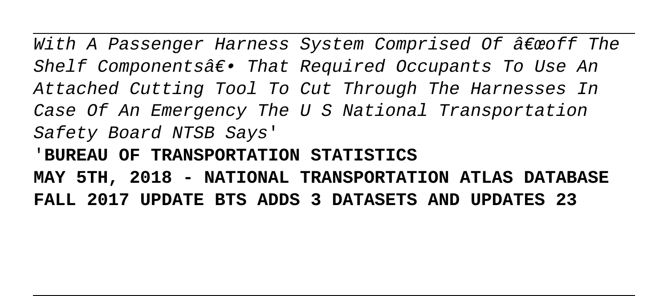With A Passenger Harness System Comprised Of  $\hat{a}\epsilon$  woff The Shelf Components $\hat{a}\epsilon$ . That Required Occupants To Use An Attached Cutting Tool To Cut Through The Harnesses In Case Of An Emergency The U S National Transportation Safety Board NTSB Says' '**BUREAU OF TRANSPORTATION STATISTICS MAY 5TH, 2018 - NATIONAL TRANSPORTATION ATLAS DATABASE FALL 2017 UPDATE BTS ADDS 3 DATASETS AND UPDATES 23**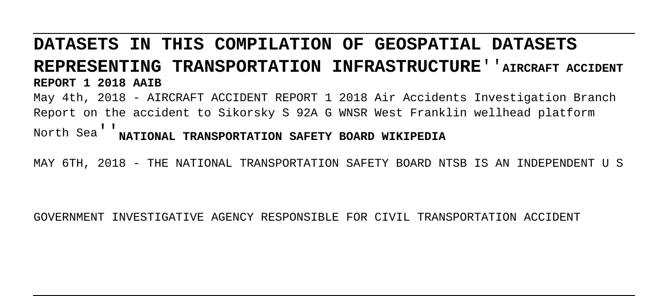## **DATASETS IN THIS COMPILATION OF GEOSPATIAL DATASETS REPRESENTING TRANSPORTATION INFRASTRUCTURE**''**AIRCRAFT ACCIDENT REPORT 1 2018 AAIB**

May 4th, 2018 - AIRCRAFT ACCIDENT REPORT 1 2018 Air Accidents Investigation Branch Report on the accident to Sikorsky S 92A G WNSR West Franklin wellhead platform

North Sea''**NATIONAL TRANSPORTATION SAFETY BOARD WIKIPEDIA**

MAY 6TH, 2018 - THE NATIONAL TRANSPORTATION SAFETY BOARD NTSB IS AN INDEPENDENT U S

GOVERNMENT INVESTIGATIVE AGENCY RESPONSIBLE FOR CIVIL TRANSPORTATION ACCIDENT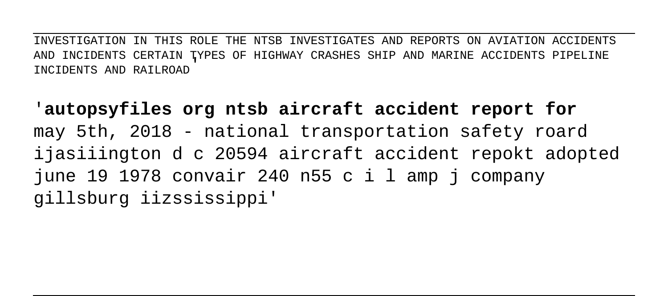INVESTIGATION IN THIS ROLE THE NTSB INVESTIGATES AND REPORTS ON AVIATION ACCIDENTS AND INCIDENTS CERTAIN TYPES OF HIGHWAY CRASHES SHIP AND MARINE ACCIDENTS PIPELINE INCIDENTS AND RAILROAD'

'**autopsyfiles org ntsb aircraft accident report for** may 5th, 2018 - national transportation safety roard ijasiiington d c 20594 aircraft accident repokt adopted june 19 1978 convair 240 n55 c i l amp j company gillsburg iizssissippi'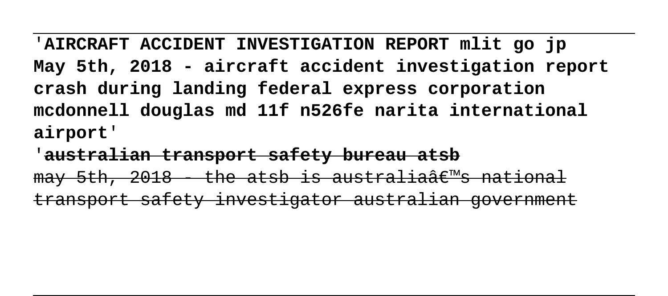'**AIRCRAFT ACCIDENT INVESTIGATION REPORT mlit go jp May 5th, 2018 - aircraft accident investigation report crash during landing federal express corporation mcdonnell douglas md 11f n526fe narita international airport**'

'**australian transport safety bureau atsb**  $\frac{m}{\sqrt{5}}$  and  $\frac{m}{\sqrt{5}}$  and  $\frac{m}{\sqrt{5}}$  and  $\frac{m}{\sqrt{5}}$  and  $\frac{m}{\sqrt{5}}$  and  $\frac{m}{\sqrt{5}}$  and  $\frac{m}{\sqrt{5}}$  and  $\frac{m}{\sqrt{5}}$  and  $\frac{m}{\sqrt{5}}$  and  $\frac{m}{\sqrt{5}}$  and  $\frac{m}{\sqrt{5}}$  and  $\frac{m}{\sqrt{5}}$  and  $\frac{m}{\sqrt{5}}$  and transport safety investigator australian gove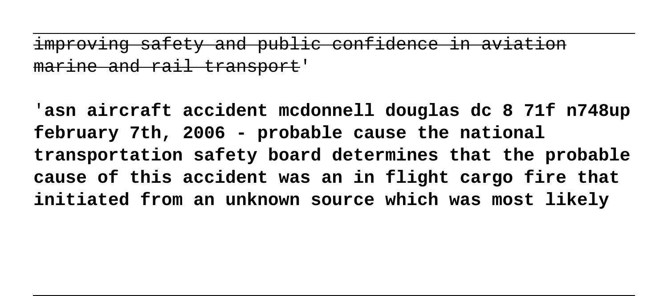improving safety and public confidence in aviation ne and rail trans

'**asn aircraft accident mcdonnell douglas dc 8 71f n748up february 7th, 2006 - probable cause the national transportation safety board determines that the probable cause of this accident was an in flight cargo fire that initiated from an unknown source which was most likely**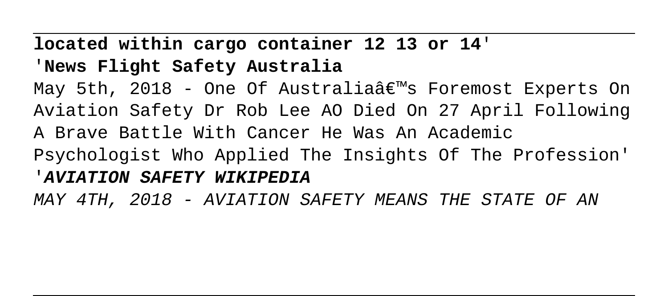## **located within cargo container 12 13 or 14**' '**News Flight Safety Australia**

May 5th, 2018 - One Of Australia $\hat{\mathbf{a}} \in \mathbb{M}$ s Foremost Experts On Aviation Safety Dr Rob Lee AO Died On 27 April Following A Brave Battle With Cancer He Was An Academic Psychologist Who Applied The Insights Of The Profession' '**AVIATION SAFETY WIKIPEDIA**

MAY 4TH, 2018 - AVIATION SAFETY MEANS THE STATE OF AN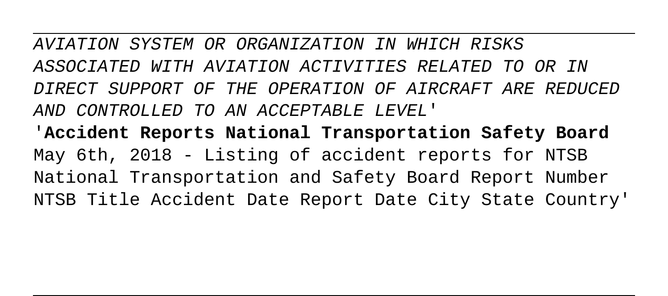AVIATION SYSTEM OR ORGANIZATION IN WHICH RISKS ASSOCIATED WITH AVIATION ACTIVITIES RELATED TO OR IN DIRECT SUPPORT OF THE OPERATION OF AIRCRAFT ARE REDUCED AND CONTROLLED TO AN ACCEPTABLE LEVEL'

'**Accident Reports National Transportation Safety Board** May 6th, 2018 - Listing of accident reports for NTSB National Transportation and Safety Board Report Number NTSB Title Accident Date Report Date City State Country'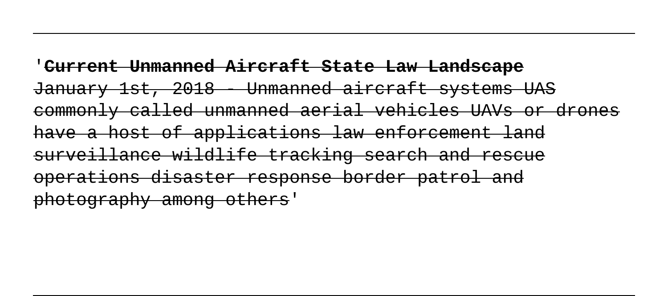## '**Current Unmanned Aircraft State Law Landscape** January 1st, 2018 - Unmanned aircraft systems UAS commonly called unmanned aerial vehicles UAVs or drones have a host of applications law enforcement land surveillance wildlife tracking search and rescue operations disaster response border patrol and photography among others'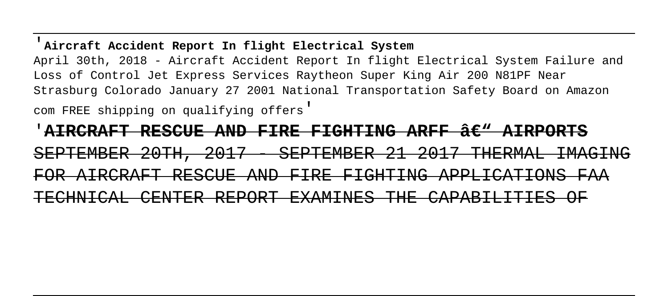#### '**Aircraft Accident Report In flight Electrical System**

April 30th, 2018 - Aircraft Accident Report In flight Electrical System Failure and Loss of Control Jet Express Services Raytheon Super King Air 200 N81PF Near Strasburg Colorado January 27 2001 National Transportation Safety Board on Amazon

com FREE shipping on qualifying offers'

'<del>AIRCRAFT RESCUE AND FIRE FIGHTING ARFF â $\epsilon$ " AIRPORTS</del> SEPTEMBER 20TH, 2017 - SEPTEMBER 21 2017 THERMAL IMAGING FOR AIRCRAFT RESCUE AND FIRE FIGHTING APPLICATIONS FAA TECHNICAL CENTER REPORT EXAMINES THE CAPABILITIES OF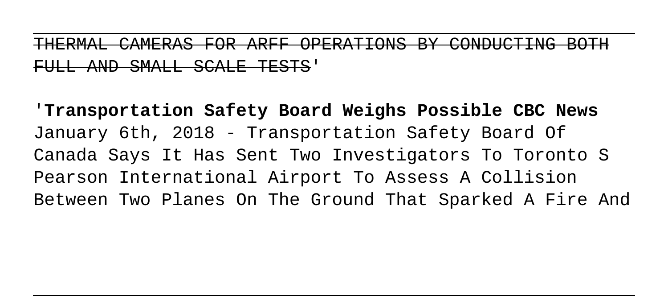THERMAL CAMERAS FOR ARFF OPERATIONS BY CONDUCTING BOTH FULL AND SMALL SCALE TESTS'

'**Transportation Safety Board Weighs Possible CBC News** January 6th, 2018 - Transportation Safety Board Of Canada Says It Has Sent Two Investigators To Toronto S Pearson International Airport To Assess A Collision Between Two Planes On The Ground That Sparked A Fire And